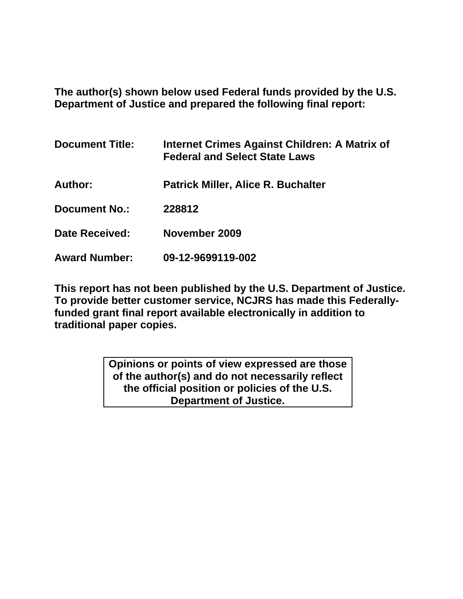**The author(s) shown below used Federal funds provided by the U.S. Department of Justice and prepared the following final report:** 

| <b>Document Title:</b> | Internet Crimes Against Children: A Matrix of<br><b>Federal and Select State Laws</b> |
|------------------------|---------------------------------------------------------------------------------------|
| Author:                | <b>Patrick Miller, Alice R. Buchalter</b>                                             |
| <b>Document No.:</b>   | 228812                                                                                |
| <b>Date Received:</b>  | November 2009                                                                         |
| <b>Award Number:</b>   | 09-12-9699119-002                                                                     |

**This report has not been published by the U.S. Department of Justice. To provide better customer service, NCJRS has made this Federallyfunded grant final report available electronically in addition to traditional paper copies.** 

> **Opinions or points of view expressed are those of the author(s) and do not necessarily reflect the official position or policies of the U.S. Department of Justice.**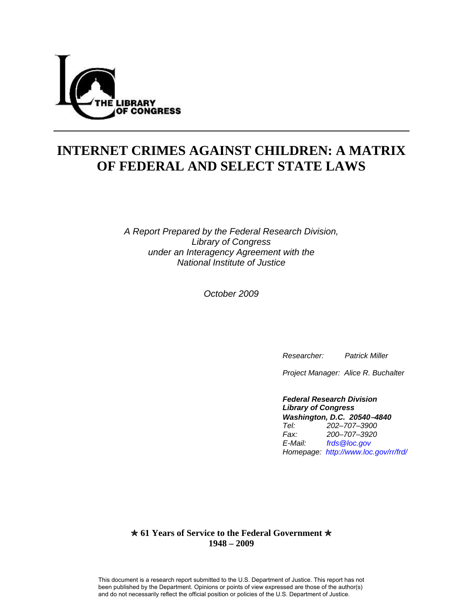

# **INTERNET CRIMES AGAINST CHILDREN: A MATRIX OF FEDERAL AND SELECT STATE LAWS**

*A Report Prepared by the Federal Research Division, Library of Congress under an Interagency Agreement with the National Institute of Justice* 

*October 2009* 

 *Researcher: Patrick Miller* 

 *Project Manager: Alice R. Buchalter* 

 *Federal Research Division Library of Congress Washington, D.C. 20540*−*4840 Tel: 202–707–3900 Fax: 200–707–3920 E-Mail: [frds@loc.gov](mailto:frds@loc.gov)  Homepage: <http://www.loc.gov/rr/frd/>*

#### $\star$  **61 Years of Service to the Federal Government**  $\star$ **1948 – 2009**

This document is a research report submitted to the U.S. Department of Justice. This report has not been published by the Department. Opinions or points of view expressed are those of the author(s) and do not necessarily reflect the official position or policies of the U.S. Department of Justice.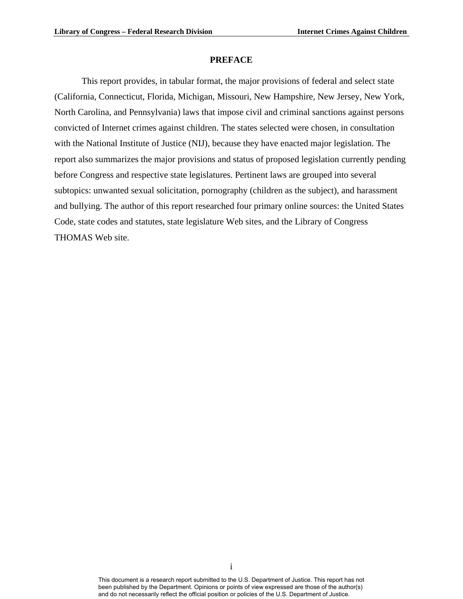#### **PREFACE**

This report provides, in tabular format, the major provisions of federal and select state (California, Connecticut, Florida, Michigan, Missouri, New Hampshire, New Jersey, New York, North Carolina, and Pennsylvania) laws that impose civil and criminal sanctions against persons convicted of Internet crimes against children. The states selected were chosen, in consultation with the National Institute of Justice (NIJ), because they have enacted major legislation. The report also summarizes the major provisions and status of proposed legislation currently pending before Congress and respective state legislatures. Pertinent laws are grouped into several subtopics: unwanted sexual solicitation, pornography (children as the subject), and harassment and bullying. The author of this report researched four primary online sources: the United States Code, state codes and statutes, state legislature Web sites, and the Library of Congress THOMAS Web site.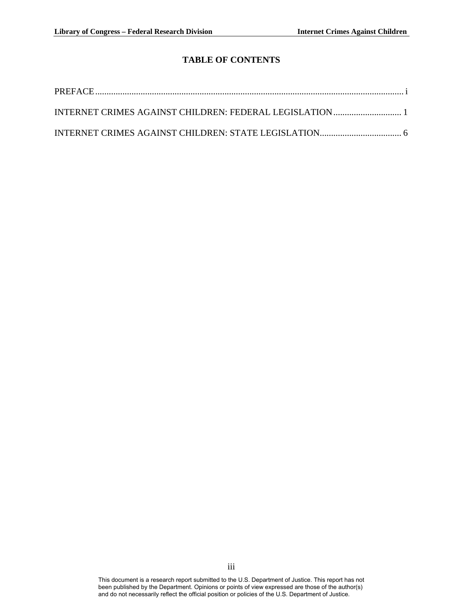# **TABLE OF CONTENTS**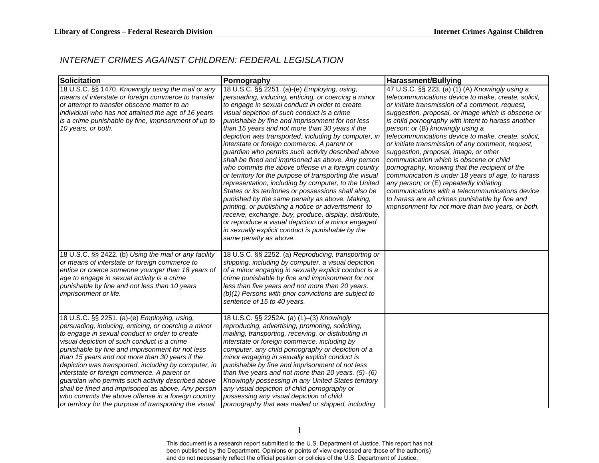### *INTERNET CRIMES AGAINST CHILDREN: FEDERAL LEGISLATION*

| <b>Solicitation</b>                                                                                                                                                                                                                                                                                                                                                                                                                                                                                                                                                                                                                             | Pornography                                                                                                                                                                                                                                                                                                                                                                                                                                                                                                                                                                                                                                                                                                                                                                                                                                                                                                                                                                                                                                                              | <b>Harassment/Bullying</b>                                                                                                                                                                                                                                                                                                                                                                                                                                                                                                                                                                                                                                                                                                                                                                                               |
|-------------------------------------------------------------------------------------------------------------------------------------------------------------------------------------------------------------------------------------------------------------------------------------------------------------------------------------------------------------------------------------------------------------------------------------------------------------------------------------------------------------------------------------------------------------------------------------------------------------------------------------------------|--------------------------------------------------------------------------------------------------------------------------------------------------------------------------------------------------------------------------------------------------------------------------------------------------------------------------------------------------------------------------------------------------------------------------------------------------------------------------------------------------------------------------------------------------------------------------------------------------------------------------------------------------------------------------------------------------------------------------------------------------------------------------------------------------------------------------------------------------------------------------------------------------------------------------------------------------------------------------------------------------------------------------------------------------------------------------|--------------------------------------------------------------------------------------------------------------------------------------------------------------------------------------------------------------------------------------------------------------------------------------------------------------------------------------------------------------------------------------------------------------------------------------------------------------------------------------------------------------------------------------------------------------------------------------------------------------------------------------------------------------------------------------------------------------------------------------------------------------------------------------------------------------------------|
| 18 U.S.C. §§ 1470. Knowingly using the mail or any<br>means of interstate or foreign commerce to transfer<br>or attempt to transfer obscene matter to an<br>individual who has not attained the age of 16 years<br>is a crime punishable by fine, imprisonment of up to<br>10 years, or both.                                                                                                                                                                                                                                                                                                                                                   | 18 U.S.C. §§ 2251. (a)-(e) Employing, using,<br>persuading, inducing, enticing, or coercing a minor<br>to engage in sexual conduct in order to create<br>visual depiction of such conduct is a crime<br>punishable by fine and imprisonment for not less<br>than 15 years and not more than 30 years if the<br>depiction was transported, including by computer, in<br>interstate or foreign commerce. A parent or<br>guardian who permits such activity described above<br>shall be fined and imprisoned as above. Any person<br>who commits the above offense in a foreign country<br>or territory for the purpose of transporting the visual<br>representation, including by computer, to the United<br>States or its territories or possessions shall also be<br>punished by the same penalty as above. Making,<br>printing, or publishing a notice or advertisment to<br>receive, exchange, buy, produce, display, distribute,<br>or reproduce a visual depiction of a minor engaged<br>in sexually explicit conduct is punishable by the<br>same penalty as above. | 47 U.S.C. §§ 223. (a) (1) (A) Knowingly using a<br>telecommunications device to make, create, solicit,<br>or initiate transmission of a comment, request,<br>suggestion, proposal, or image which is obscene or<br>is child pornography with intent to harass another<br>person; or (B) knowingly using a<br>telecommunications device to make, create, solicit,<br>or initiate transmission of any comment, request,<br>suggestion, proposal, image, or other<br>communication which is obscene or child<br>pornography, knowing that the recipient of the<br>communication is under 18 years of age, to harass<br>any person; or (E) repeatedly initiating<br>communications with a telecommunications device<br>to harass are all crimes punishable by fine and<br>imprisonment for not more than two years, or both. |
| 18 U.S.C. §§ 2422. (b) Using the mail or any facility<br>or means of interstate or foreign commerce to<br>entice or coerce someone younger than 18 years of<br>age to engage in sexual activity is a crime<br>punishable by fine and not less than 10 years<br>imprisonment or life.                                                                                                                                                                                                                                                                                                                                                            | 18 U.S.C. §§ 2252. (a) Reproducing, transporting or<br>shipping, including by computer, a visual depiction<br>of a minor engaging in sexually explicit conduct is a<br>crime punishable by fine and imprisonment for not<br>less than five years and not more than 20 years.<br>(b)(1) Persons with prior convictions are subject to<br>sentence of 15 to 40 years.                                                                                                                                                                                                                                                                                                                                                                                                                                                                                                                                                                                                                                                                                                      |                                                                                                                                                                                                                                                                                                                                                                                                                                                                                                                                                                                                                                                                                                                                                                                                                          |
| 18 U.S.C. §§ 2251. (a)-(e) Employing, using,<br>persuading, inducing, enticing, or coercing a minor<br>to engage in sexual conduct in order to create<br>visual depiction of such conduct is a crime<br>punishable by fine and imprisonment for not less<br>than 15 years and not more than 30 years if the<br>depiction was transported, including by computer, in<br>interstate or foreign commerce. A parent or<br>guardian who permits such activity described above<br>shall be fined and imprisoned as above. Any person<br>who commits the above offense in a foreign country<br>or territory for the purpose of transporting the visual | 18 U.S.C. §§ 2252A. (a) (1)–(3) Knowingly<br>reproducing, advertising, promoting, soliciting,<br>mailing, transporting, receiving, or distributing in<br>interstate or foreign commerce, including by<br>computer, any child pornography or depiction of a<br>minor engaging in sexually explicit conduct is<br>punishable by fine and imprisonment of not less<br>than five years and not more than 20 years. $(5)$ – $(6)$<br>Knowingly possessing in any United States territory<br>any visual depiction of child pornography or<br>possessing any visual depiction of child<br>pornography that was mailed or shipped, including                                                                                                                                                                                                                                                                                                                                                                                                                                     |                                                                                                                                                                                                                                                                                                                                                                                                                                                                                                                                                                                                                                                                                                                                                                                                                          |

1

<span id="page-4-0"></span>This document is a research report submitted to the U.S. Department of Justice. This report has not been published by the Department. Opinions or points of view expressed are those of the author(s) and do not necessarily reflect the official position or policies of the U.S. Department of Justice.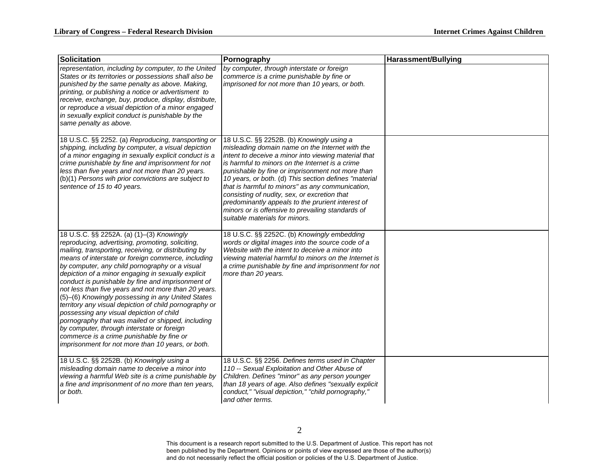| <b>Solicitation</b>                                                                                                                                                                                                                                                                                                                                                                                                                                                                                                                                                                                                                                                                                                                                                                              | Pornography                                                                                                                                                                                                                                                                                                                                                                                                                                                                                                                                                          | <b>Harassment/Bullying</b> |
|--------------------------------------------------------------------------------------------------------------------------------------------------------------------------------------------------------------------------------------------------------------------------------------------------------------------------------------------------------------------------------------------------------------------------------------------------------------------------------------------------------------------------------------------------------------------------------------------------------------------------------------------------------------------------------------------------------------------------------------------------------------------------------------------------|----------------------------------------------------------------------------------------------------------------------------------------------------------------------------------------------------------------------------------------------------------------------------------------------------------------------------------------------------------------------------------------------------------------------------------------------------------------------------------------------------------------------------------------------------------------------|----------------------------|
| representation, including by computer, to the United<br>States or its territories or possessions shall also be<br>punished by the same penalty as above. Making,<br>printing, or publishing a notice or advertisment to<br>receive, exchange, buy, produce, display, distribute,<br>or reproduce a visual depiction of a minor engaged<br>in sexually explicit conduct is punishable by the<br>same penalty as above.                                                                                                                                                                                                                                                                                                                                                                            | by computer, through interstate or foreign<br>commerce is a crime punishable by fine or<br>imprisoned for not more than 10 years, or both.                                                                                                                                                                                                                                                                                                                                                                                                                           |                            |
| 18 U.S.C. §§ 2252. (a) Reproducing, transporting or<br>shipping, including by computer, a visual depiction<br>of a minor engaging in sexually explicit conduct is a<br>crime punishable by fine and imprisonment for not<br>less than five years and not more than 20 years.<br>(b)(1) Persons wih prior convictions are subject to<br>sentence of 15 to 40 years.                                                                                                                                                                                                                                                                                                                                                                                                                               | 18 U.S.C. §§ 2252B. (b) Knowingly using a<br>misleading domain name on the Internet with the<br>intent to deceive a minor into viewing material that<br>is harmful to minors on the Internet is a crime<br>punishable by fine or imprisonment not more than<br>10 years, or both. (d) This section defines "material<br>that is harmful to minors" as any communication,<br>consisting of nudity, sex, or excretion that<br>predominantly appeals to the prurient interest of<br>minors or is offensive to prevailing standards of<br>suitable materials for minors. |                            |
| 18 U.S.C. §§ 2252A. (a) (1)-(3) Knowingly<br>reproducing, advertising, promoting, soliciting,<br>mailing, transporting, receiving, or distributing by<br>means of interstate or foreign commerce, including<br>by computer, any child pornography or a visual<br>depiction of a minor engaging in sexually explicit<br>conduct is punishable by fine and imprisonment of<br>not less than five years and not more than 20 years.<br>(5)-(6) Knowingly possessing in any United States<br>territory any visual depiction of child pornography or<br>possessing any visual depiction of child<br>pornography that was mailed or shipped, including<br>by computer, through interstate or foreign<br>commerce is a crime punishable by fine or<br>imprisonment for not more than 10 years, or both. | 18 U.S.C. §§ 2252C. (b) Knowingly embedding<br>words or digital images into the source code of a<br>Website with the intent to deceive a minor into<br>viewing material harmful to minors on the Internet is<br>a crime punishable by fine and imprisonment for not<br>more than 20 years.                                                                                                                                                                                                                                                                           |                            |
| 18 U.S.C. §§ 2252B. (b) Knowingly using a<br>misleading domain name to deceive a minor into<br>viewing a harmful Web site is a crime punishable by<br>a fine and imprisonment of no more than ten years,<br>or both.                                                                                                                                                                                                                                                                                                                                                                                                                                                                                                                                                                             | 18 U.S.C. §§ 2256. Defines terms used in Chapter<br>110 -- Sexual Exploitation and Other Abuse of<br>Children. Defines "minor" as any person younger<br>than 18 years of age. Also defines "sexually explicit<br>conduct," "visual depiction," "child pornography,"<br>and other terms.                                                                                                                                                                                                                                                                              |                            |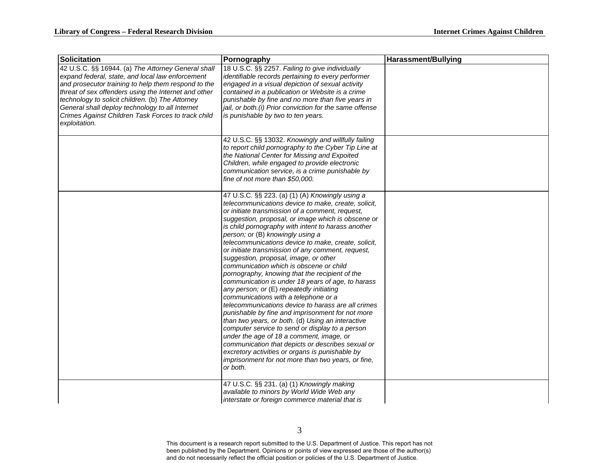| <b>Solicitation</b>                                                                                                                                                                                                                                                                                                                                                                                 | Pornography                                                                                                                                                                                                                                                                                                                                                                                                                                                                                                                                                                                                                                                                                                                                                                                                                                                                                                                                                                                                                                                                                                                                  | <b>Harassment/Bullying</b> |
|-----------------------------------------------------------------------------------------------------------------------------------------------------------------------------------------------------------------------------------------------------------------------------------------------------------------------------------------------------------------------------------------------------|----------------------------------------------------------------------------------------------------------------------------------------------------------------------------------------------------------------------------------------------------------------------------------------------------------------------------------------------------------------------------------------------------------------------------------------------------------------------------------------------------------------------------------------------------------------------------------------------------------------------------------------------------------------------------------------------------------------------------------------------------------------------------------------------------------------------------------------------------------------------------------------------------------------------------------------------------------------------------------------------------------------------------------------------------------------------------------------------------------------------------------------------|----------------------------|
| 42 U.S.C. §§ 16944. (a) The Attorney General shall<br>expand federal, state, and local law enforcement<br>and prosecutor training to help them respond to the<br>threat of sex offenders using the Internet and other<br>technology to solicit children. (b) The Attorney<br>General shall deploy technology to all Internet<br>Crimes Against Children Task Forces to track child<br>exploitation. | 18 U.S.C. §§ 2257. Failing to give individually<br>identifiable records pertaining to every performer<br>engaged in a visual depiction of sexual activity<br>contained in a publication or Website is a crime<br>punishable by fine and no more than five years in<br>jail, or both.(i) Prior conviction for the same offense<br>is punishable by two to ten years.                                                                                                                                                                                                                                                                                                                                                                                                                                                                                                                                                                                                                                                                                                                                                                          |                            |
|                                                                                                                                                                                                                                                                                                                                                                                                     | 42 U.S.C. §§ 13032. Knowingly and willfully failing<br>to report child pornography to the Cyber Tip Line at<br>the National Center for Missing and Expoited<br>Children, while engaged to provide electronic<br>communication service, is a crime punishable by<br>fine of not more than \$50,000.                                                                                                                                                                                                                                                                                                                                                                                                                                                                                                                                                                                                                                                                                                                                                                                                                                           |                            |
|                                                                                                                                                                                                                                                                                                                                                                                                     | 47 U.S.C. §§ 223. (a) (1) (A) Knowingly using a<br>telecommunications device to make, create, solicit,<br>or initiate transmission of a comment, request,<br>suggestion, proposal, or image which is obscene or<br>is child pornography with intent to harass another<br>person; or (B) knowingly using a<br>telecommunications device to make, create, solicit,<br>or initiate transmission of any comment, request,<br>suggestion, proposal, image, or other<br>communication which is obscene or child<br>pornography, knowing that the recipient of the<br>communication is under 18 years of age, to harass<br>any person; or (E) repeatedly initiating<br>communications with a telephone or a<br>telecommunications device to harass are all crimes<br>punishable by fine and imprisonment for not more<br>than two years, or both. (d) Using an interactive<br>computer service to send or display to a person<br>under the age of 18 a comment, image, or<br>communication that depicts or describes sexual or<br>excretory activities or organs is punishable by<br>imprisonment for not more than two years, or fine,<br>or both. |                            |
|                                                                                                                                                                                                                                                                                                                                                                                                     | 47 U.S.C. §§ 231. (a) (1) Knowingly making<br>available to minors by World Wide Web any<br>interstate or foreign commerce material that is                                                                                                                                                                                                                                                                                                                                                                                                                                                                                                                                                                                                                                                                                                                                                                                                                                                                                                                                                                                                   |                            |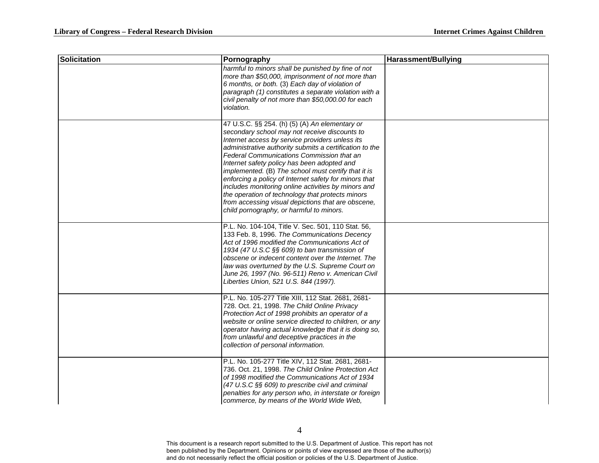| Solicitation | Pornography                                                                                                                                                                                                                                                                                                                                                                                                                                                                                                                                                                                                                            | <b>Harassment/Bullying</b> |
|--------------|----------------------------------------------------------------------------------------------------------------------------------------------------------------------------------------------------------------------------------------------------------------------------------------------------------------------------------------------------------------------------------------------------------------------------------------------------------------------------------------------------------------------------------------------------------------------------------------------------------------------------------------|----------------------------|
|              | harmful to minors shall be punished by fine of not<br>more than \$50,000, imprisonment of not more than<br>6 months, or both. (3) Each day of violation of<br>paragraph (1) constitutes a separate violation with a<br>civil penalty of not more than \$50,000.00 for each<br>violation.                                                                                                                                                                                                                                                                                                                                               |                            |
|              | 47 U.S.C. §§ 254. (h) (5) (A) An elementary or<br>secondary school may not receive discounts to<br>Internet access by service providers unless its<br>administrative authority submits a certification to the<br>Federal Communications Commission that an<br>Internet safety policy has been adopted and<br>implemented. (B) The school must certify that it is<br>enforcing a policy of Internet safety for minors that<br>includes monitoring online activities by minors and<br>the operation of technology that protects minors<br>from accessing visual depictions that are obscene,<br>child pornography, or harmful to minors. |                            |
|              | P.L. No. 104-104, Title V. Sec. 501, 110 Stat. 56,<br>133 Feb. 8, 1996. The Communications Decency<br>Act of 1996 modified the Communications Act of<br>1934 (47 U.S.C §§ 609) to ban transmission of<br>obscene or indecent content over the Internet. The<br>law was overturned by the U.S. Supreme Court on<br>June 26, 1997 (No. 96-511) Reno v. American Civil<br>Liberties Union, 521 U.S. 844 (1997).                                                                                                                                                                                                                           |                            |
|              | P.L. No. 105-277 Title XIII, 112 Stat. 2681, 2681-<br>728. Oct. 21, 1998. The Child Online Privacy<br>Protection Act of 1998 prohibits an operator of a<br>website or online service directed to children, or any<br>operator having actual knowledge that it is doing so,<br>from unlawful and deceptive practices in the<br>collection of personal information.                                                                                                                                                                                                                                                                      |                            |
|              | P.L. No. 105-277 Title XIV, 112 Stat. 2681, 2681-<br>736. Oct. 21, 1998. The Child Online Protection Act<br>of 1998 modified the Communications Act of 1934<br>(47 U.S.C §§ 609) to prescribe civil and criminal<br>penalties for any person who, in interstate or foreign<br>commerce, by means of the World Wide Web,                                                                                                                                                                                                                                                                                                                |                            |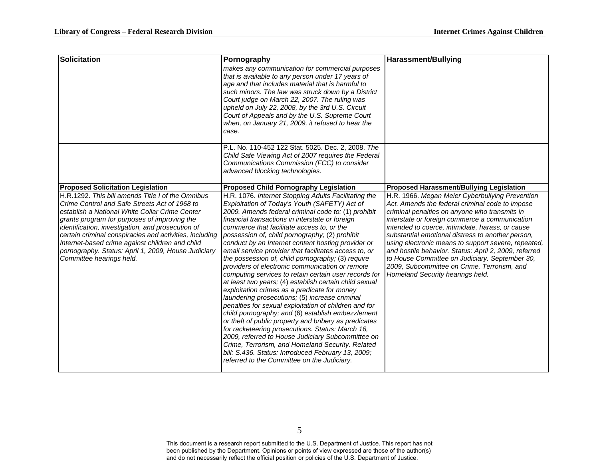| <b>Solicitation</b>                                                                                                                                                                                                                                                                                                                                                                                                                                        | Pornography                                                                                                                                                                                                                                                                                                                                                                                                                                                                                                                                                                                                                                                                                                                                                                                                                                                                                                                                                                                                                                                                                                                                                                                          | <b>Harassment/Bullying</b>                                                                                                                                                                                                                                                                                                                                                                                                                                                                                                                                          |
|------------------------------------------------------------------------------------------------------------------------------------------------------------------------------------------------------------------------------------------------------------------------------------------------------------------------------------------------------------------------------------------------------------------------------------------------------------|------------------------------------------------------------------------------------------------------------------------------------------------------------------------------------------------------------------------------------------------------------------------------------------------------------------------------------------------------------------------------------------------------------------------------------------------------------------------------------------------------------------------------------------------------------------------------------------------------------------------------------------------------------------------------------------------------------------------------------------------------------------------------------------------------------------------------------------------------------------------------------------------------------------------------------------------------------------------------------------------------------------------------------------------------------------------------------------------------------------------------------------------------------------------------------------------------|---------------------------------------------------------------------------------------------------------------------------------------------------------------------------------------------------------------------------------------------------------------------------------------------------------------------------------------------------------------------------------------------------------------------------------------------------------------------------------------------------------------------------------------------------------------------|
|                                                                                                                                                                                                                                                                                                                                                                                                                                                            | makes any communication for commercial purposes<br>that is available to any person under 17 years of<br>age and that includes material that is harmful to<br>such minors. The law was struck down by a District<br>Court judge on March 22, 2007. The ruling was<br>upheld on July 22, 2008, by the 3rd U.S. Circuit<br>Court of Appeals and by the U.S. Supreme Court<br>when, on January 21, 2009, it refused to hear the<br>case.                                                                                                                                                                                                                                                                                                                                                                                                                                                                                                                                                                                                                                                                                                                                                                 |                                                                                                                                                                                                                                                                                                                                                                                                                                                                                                                                                                     |
|                                                                                                                                                                                                                                                                                                                                                                                                                                                            | P.L. No. 110-452 122 Stat. 5025. Dec. 2, 2008. The<br>Child Safe Viewing Act of 2007 requires the Federal<br>Communications Commission (FCC) to consider<br>advanced blocking technologies.                                                                                                                                                                                                                                                                                                                                                                                                                                                                                                                                                                                                                                                                                                                                                                                                                                                                                                                                                                                                          |                                                                                                                                                                                                                                                                                                                                                                                                                                                                                                                                                                     |
| <b>Proposed Solicitation Legislation</b>                                                                                                                                                                                                                                                                                                                                                                                                                   | <b>Proposed Child Pornography Legislation</b>                                                                                                                                                                                                                                                                                                                                                                                                                                                                                                                                                                                                                                                                                                                                                                                                                                                                                                                                                                                                                                                                                                                                                        | <b>Proposed Harassment/Bullying Legislation</b>                                                                                                                                                                                                                                                                                                                                                                                                                                                                                                                     |
| H.R.1292. This bill amends Title I of the Omnibus<br>Crime Control and Safe Streets Act of 1968 to<br>establish a National White Collar Crime Center<br>grants program for purposes of improving the<br>identification, investigation, and prosecution of<br>certain criminal conspiracies and activities, including<br>Internet-based crime against children and child<br>pornography. Status: April 1, 2009, House Judiciary<br>Committee hearings held. | H.R. 1076. Internet Stopping Adults Facilitating the<br>Exploitation of Today's Youth (SAFETY) Act of<br>2009. Amends federal criminal code to: (1) prohibit<br>financial transactions in interstate or foreign<br>commerce that facilitate access to, or the<br>possession of, child pornography; (2) prohibit<br>conduct by an Internet content hosting provider or<br>email service provider that facilitates access to, or<br>the possession of, child pornography; (3) require<br>providers of electronic communication or remote<br>computing services to retain certain user records for<br>at least two years; (4) establish certain child sexual<br>exploitation crimes as a predicate for money<br>laundering prosecutions; (5) increase criminal<br>penalties for sexual exploitation of children and for<br>child pornography; and (6) establish embezzlement<br>or theft of public property and bribery as predicates<br>for racketeering prosecutions. Status: March 16,<br>2009, referred to House Judiciary Subcommittee on<br>Crime, Terrorism, and Homeland Security. Related<br>bill: S.436. Status: Introduced February 13, 2009;<br>referred to the Committee on the Judiciary. | H.R. 1966. Megan Meier Cyberbullying Prevention<br>Act. Amends the federal criminal code to impose<br>criminal penalties on anyone who transmits in<br>interstate or foreign commerce a communication<br>intended to coerce, intimidate, harass, or cause<br>substantial emotional distress to another person,<br>using electronic means to support severe, repeated,<br>and hostile behavior. Status: April 2, 2009, referred<br>to House Committee on Judiciary. September 30,<br>2009, Subcommittee on Crime, Terrorism, and<br>Homeland Security hearings held. |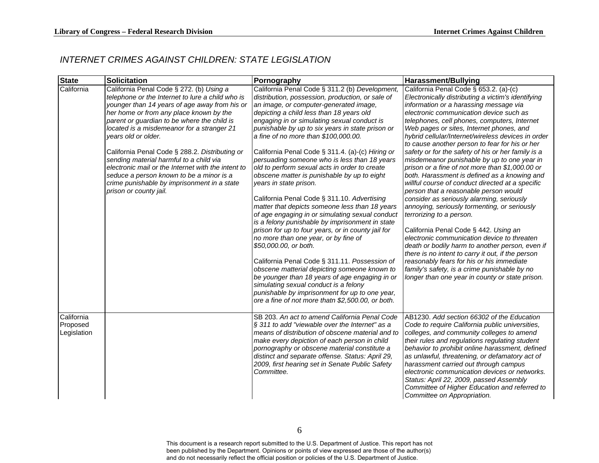## *INTERNET CRIMES AGAINST CHILDREN: STATE LEGISLATION*

| <b>State</b>                          | <b>Solicitation</b>                                                                                                                                                                                                                                                                                                                                                                                                                                                                                                                                                                  | Pornography                                                                                                                                                                                                                                                                                                                                                                                                                                                                                                                                                                                                                                                                                                                                                                                                                                                                                                                                                                                                                                                                                                                                                                                        | <b>Harassment/Bullying</b>                                                                                                                                                                                                                                                                                                                                                                                                                                                                                                                                                                                                                                                                                                                                                                                                                                                                                                                                                                                                                                                                                                                                          |
|---------------------------------------|--------------------------------------------------------------------------------------------------------------------------------------------------------------------------------------------------------------------------------------------------------------------------------------------------------------------------------------------------------------------------------------------------------------------------------------------------------------------------------------------------------------------------------------------------------------------------------------|----------------------------------------------------------------------------------------------------------------------------------------------------------------------------------------------------------------------------------------------------------------------------------------------------------------------------------------------------------------------------------------------------------------------------------------------------------------------------------------------------------------------------------------------------------------------------------------------------------------------------------------------------------------------------------------------------------------------------------------------------------------------------------------------------------------------------------------------------------------------------------------------------------------------------------------------------------------------------------------------------------------------------------------------------------------------------------------------------------------------------------------------------------------------------------------------------|---------------------------------------------------------------------------------------------------------------------------------------------------------------------------------------------------------------------------------------------------------------------------------------------------------------------------------------------------------------------------------------------------------------------------------------------------------------------------------------------------------------------------------------------------------------------------------------------------------------------------------------------------------------------------------------------------------------------------------------------------------------------------------------------------------------------------------------------------------------------------------------------------------------------------------------------------------------------------------------------------------------------------------------------------------------------------------------------------------------------------------------------------------------------|
| California                            | California Penal Code § 272. (b) Using a<br>telephone or the Internet to lure a child who is<br>younger than 14 years of age away from his or<br>her home or from any place known by the<br>parent or guardian to be where the child is<br>located is a misdemeanor for a stranger 21<br>vears old or older.<br>California Penal Code § 288.2. Distributing or<br>sending material harmful to a child via<br>electronic mail or the Internet with the intent to<br>seduce a person known to be a minor is a<br>crime punishable by imprisonment in a state<br>prison or county jail. | California Penal Code § 311.2 (b) Development,<br>distribution, possession, production, or sale of<br>an image, or computer-generated image,<br>depicting a child less than 18 years old<br>engaging in or simulating sexual conduct is<br>punishable by up to six years in state prison or<br>a fine of no more than \$100,000.00.<br>California Penal Code § 311.4. (a)-(c) Hiring or<br>persuading someone who is less than 18 years<br>old to perform sexual acts in order to create<br>obscene matter is punishable by up to eight<br>years in state prison.<br>California Penal Code § 311.10. Advertising<br>matter that depicts someone less than 18 years<br>of age engaging in or simulating sexual conduct<br>is a felony punishable by imprisonment in state<br>prison for up to four years, or in county jail for<br>no more than one year, or by fine of<br>\$50,000.00, or both.<br>California Penal Code § 311.11. Possession of<br>obscene matterial depicting someone known to<br>be younger than 18 years of age engaging in or<br>simulating sexual conduct is a felony<br>punishable by imprisonment for up to one year,<br>ore a fine of not more thatn \$2,500.00, or both. | California Penal Code § 653.2. (a)-(c)<br>Electronically distributing a victim's identifying<br>information or a harassing message via<br>electronic communication device such as<br>telephones, cell phones, computers, Internet<br>Web pages or sites, Internet phones, and<br>hybrid cellular/Internet/wireless devices in order<br>to cause another person to fear for his or her<br>safety or for the safety of his or her family is a<br>misdemeanor punishable by up to one year in<br>prison or a fine of not more than \$1,000.00 or<br>both. Harassment is defined as a knowing and<br>willful course of conduct directed at a specific<br>person that a reasonable person would<br>consider as seriously alarming, seriously<br>annoying, seriously tormenting, or seriously<br>terrorizing to a person.<br>California Penal Code § 442. Using an<br>electronic communication device to threaten<br>death or bodily harm to another person, even if<br>there is no intent to carry it out, if the person<br>reasonably fears for his or his immediate<br>family's safety, is a crime punishable by no<br>longer than one year in county or state prison. |
| California<br>Proposed<br>Legislation |                                                                                                                                                                                                                                                                                                                                                                                                                                                                                                                                                                                      | SB 203. An act to amend California Penal Code<br>§ 311 to add "viewable over the Internet" as a<br>means of distribution of obscene material and to<br>make every depiction of each person in child<br>pornography or obscene material constitute a<br>distinct and separate offense. Status: April 29,<br>2009, first hearing set in Senate Public Safety<br>Committee.                                                                                                                                                                                                                                                                                                                                                                                                                                                                                                                                                                                                                                                                                                                                                                                                                           | AB1230. Add section 66302 of the Education<br>Code to require California public universities,<br>colleges, and community colleges to amend<br>their rules and regulations regulating student<br>behavior to prohibit online harassment, defined<br>as unlawful, threatening, or defamatory act of<br>harassment carried out through campus<br>electronic communication devices or networks.<br>Status: April 22, 2009, passed Assembly<br>Committee of Higher Education and referred to<br>Committee on Appropriation.                                                                                                                                                                                                                                                                                                                                                                                                                                                                                                                                                                                                                                              |

6

<span id="page-9-0"></span>This document is a research report submitted to the U.S. Department of Justice. This report has not been published by the Department. Opinions or points of view expressed are those of the author(s) and do not necessarily reflect the official position or policies of the U.S. Department of Justice.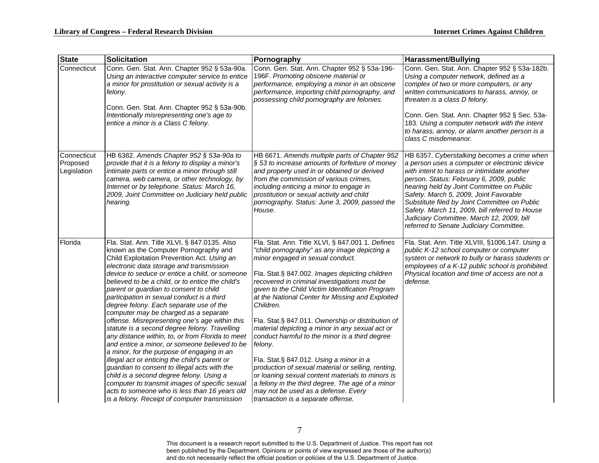| <b>State</b>                           | <b>Solicitation</b>                                                                                                                                                                                                                                                                                                                                                                                                                                                                                                                                                                                                                                                                                                                                                                                                                                                                                                                                                                                                       | Pornography                                                                                                                                                                                                                                                                                                                                                                                                                                                                                                                                                                                                                                                                                                                                                                                                            | Harassment/Bullying                                                                                                                                                                                                                                                                                                                                                                                                                                                       |
|----------------------------------------|---------------------------------------------------------------------------------------------------------------------------------------------------------------------------------------------------------------------------------------------------------------------------------------------------------------------------------------------------------------------------------------------------------------------------------------------------------------------------------------------------------------------------------------------------------------------------------------------------------------------------------------------------------------------------------------------------------------------------------------------------------------------------------------------------------------------------------------------------------------------------------------------------------------------------------------------------------------------------------------------------------------------------|------------------------------------------------------------------------------------------------------------------------------------------------------------------------------------------------------------------------------------------------------------------------------------------------------------------------------------------------------------------------------------------------------------------------------------------------------------------------------------------------------------------------------------------------------------------------------------------------------------------------------------------------------------------------------------------------------------------------------------------------------------------------------------------------------------------------|---------------------------------------------------------------------------------------------------------------------------------------------------------------------------------------------------------------------------------------------------------------------------------------------------------------------------------------------------------------------------------------------------------------------------------------------------------------------------|
| Connecticut                            | Conn. Gen. Stat. Ann. Chapter 952 § 53a-90a.<br>Using an interactive computer service to entice<br>a minor for prostitution or sexual activity is a<br>felony.<br>Conn. Gen. Stat. Ann. Chapter 952 § 53a-90b.<br>Intentionally misrepresenting one's age to<br>entice a minor is a Class C felony.                                                                                                                                                                                                                                                                                                                                                                                                                                                                                                                                                                                                                                                                                                                       | Conn. Gen. Stat. Ann. Chapter 952 § 53a-196-<br>196F. Promoting obscene material or<br>performance, employing a minor in an obscene<br>performance, importing child pornography, and<br>possessing child pornography are felonies.                                                                                                                                                                                                                                                                                                                                                                                                                                                                                                                                                                                     | Conn. Gen. Stat. Ann. Chapter 952 § 53a-182b.<br>Using a computer network, defined as a<br>complex of two or more computers, or any<br>written communications to harass, annoy, or<br>threaten is a class D felony.<br>Conn. Gen. Stat. Ann. Chapter 952 § Sec. 53a-<br>183. Using a computer network with the intent<br>to harass, annoy, or alarm another person is a<br>class C misdemeanor.                                                                           |
| Connecticut<br>Proposed<br>Legislation | HB 6382. Amends Chapter 952 § 53a-90a to<br>provide that it is a felony to display a minor's<br>intimate parts or entice a minor through still<br>camera, web camera, or other technology, by<br>Internet or by telephone. Status: March 16,<br>2009, Joint Committee on Judiciary held public<br>hearing.                                                                                                                                                                                                                                                                                                                                                                                                                                                                                                                                                                                                                                                                                                                | HB 6671. Amends multiple parts of Chapter 952<br>§ 53 to increase amounts of forfeiture of money<br>and property used in or obtained or derived<br>from the commission of various crimes,<br>including enticing a minor to engage in<br>prostitution or sexual activity and child<br>pornography. Status: June 3, 2009, passed the<br>House.                                                                                                                                                                                                                                                                                                                                                                                                                                                                           | HB 6357. Cyberstalking becomes a crime when<br>a person uses a computer or electronic device<br>with intent to harass or intimidate another<br>person. Status: February 6, 2009, public<br>hearing held by Joint Committee on Public<br>Safety. March 5, 2009, Joint Favorable<br>Substitute filed by Joint Committee on Public<br>Safety. March 11, 2009, bill referred to House<br>Judiciary Committee. March 12, 2009, bill<br>referred to Senate Judiciary Committee. |
| Florida                                | Fla. Stat. Ann. Title XLVI, § 847.0135. Also<br>known as the Computer Pornography and<br>Child Exploitation Prevention Act. Using an<br>electronic data storage and transmission<br>device to seduce or entice a child, or someone<br>believed to be a child, or to entice the child's<br>parent or guardian to consent to child<br>participation in sexual conduct is a third<br>degree felony. Each separate use of the<br>computer may be charged as a separate<br>offense. Misrepresenting one's age within this<br>statute is a second degree felony. Travelling<br>any distance within, to, or from Florida to meet<br>and entice a minor, or someone believed to be<br>a minor, for the purpose of engaging in an<br>illegal act or enticing the child's parent or<br>guardian to consent to illegal acts with the<br>child is a second degree felony. Using a<br>computer to transmit images of specific sexual<br>acts to someone who is less than 16 years old<br>is a felony. Receipt of computer transmission | Fla. Stat. Ann. Title XLVI, § 847.001 1. Defines<br>"child pornography" as any image depicting a<br>minor engaged in sexual conduct.<br>Fla. Stat.§ 847.002. Images depicting children<br>recovered in criminal investigations must be<br>given to the Child Victim Identification Program<br>at the National Center for Missing and Exploited<br>Children.<br>Fla. Stat.§ 847.011. Ownership or distribution of<br>material depicting a minor in any sexual act or<br>conduct harmful to the minor is a third degree<br>felony.<br>Fla. Stat.§ 847.012. Using a minor in a<br>production of sexual material or selling, renting,<br>or loaning sexual content materials to minors is<br>a felony in the third degree. The age of a minor<br>may not be used as a defense. Every<br>transaction is a separate offense. | Fla. Stat. Ann. Title XLVIII, §1006.147. Using a<br>public K-12 school computer or computer<br>system or network to bully or harass students or<br>employees of a K-12 public school is prohibited.<br>Physical location and time of access are not a<br>defense.                                                                                                                                                                                                         |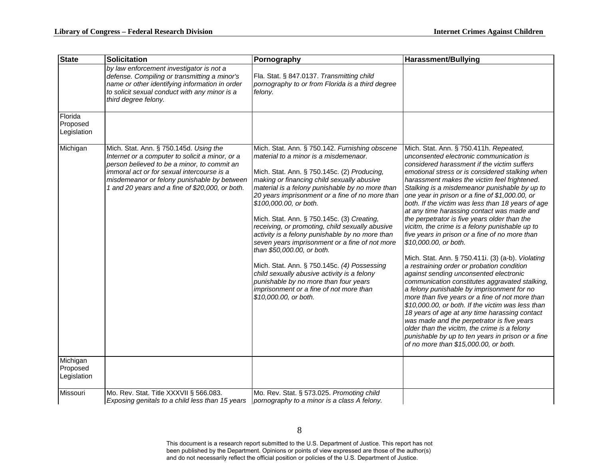| <b>State</b>                        | <b>Solicitation</b>                                                                                                                                                                                                                                                                      | Pornography                                                                                                                                                                                                                                                                                                                                                                                                                                                                                                                                                                                                                                                                                                                                                         | Harassment/Bullying                                                                                                                                                                                                                                                                                                                                                                                                                                                                                                                                                                                                                                                                                                                                                                                                                                                                                                                                                                                                                                                                                                                                                                                                      |
|-------------------------------------|------------------------------------------------------------------------------------------------------------------------------------------------------------------------------------------------------------------------------------------------------------------------------------------|---------------------------------------------------------------------------------------------------------------------------------------------------------------------------------------------------------------------------------------------------------------------------------------------------------------------------------------------------------------------------------------------------------------------------------------------------------------------------------------------------------------------------------------------------------------------------------------------------------------------------------------------------------------------------------------------------------------------------------------------------------------------|--------------------------------------------------------------------------------------------------------------------------------------------------------------------------------------------------------------------------------------------------------------------------------------------------------------------------------------------------------------------------------------------------------------------------------------------------------------------------------------------------------------------------------------------------------------------------------------------------------------------------------------------------------------------------------------------------------------------------------------------------------------------------------------------------------------------------------------------------------------------------------------------------------------------------------------------------------------------------------------------------------------------------------------------------------------------------------------------------------------------------------------------------------------------------------------------------------------------------|
|                                     | by law enforcement investigator is not a<br>defense. Compiling or transmitting a minor's<br>name or other identifying information in order<br>to solicit sexual conduct with any minor is a<br>third degree felony.                                                                      | Fla. Stat. § 847.0137. Transmitting child<br>pornography to or from Florida is a third degree<br>felony.                                                                                                                                                                                                                                                                                                                                                                                                                                                                                                                                                                                                                                                            |                                                                                                                                                                                                                                                                                                                                                                                                                                                                                                                                                                                                                                                                                                                                                                                                                                                                                                                                                                                                                                                                                                                                                                                                                          |
| Florida<br>Proposed<br>Legislation  |                                                                                                                                                                                                                                                                                          |                                                                                                                                                                                                                                                                                                                                                                                                                                                                                                                                                                                                                                                                                                                                                                     |                                                                                                                                                                                                                                                                                                                                                                                                                                                                                                                                                                                                                                                                                                                                                                                                                                                                                                                                                                                                                                                                                                                                                                                                                          |
| Michigan                            | Mich. Stat. Ann. § 750.145d. Using the<br>Internet or a computer to solicit a minor, or a<br>person believed to be a minor, to commit an<br>immoral act or for sexual intercourse is a<br>misdemeanor or felony punishable by between<br>1 and 20 years and a fine of \$20,000, or both. | Mich. Stat. Ann. § 750.142. Furnishing obscene<br>material to a minor is a misdemenaor.<br>Mich. Stat. Ann. § 750.145c. (2) Producing,<br>making or financing child sexually abusive<br>material is a felony punishable by no more than<br>20 years imprisonment or a fine of no more than<br>\$100,000.00, or both.<br>Mich. Stat. Ann. § 750.145c. (3) Creating,<br>receiving, or promoting, child sexually abusive<br>activity is a felony punishable by no more than<br>seven years imprisonment or a fine of not more<br>than \$50,000.00, or both.<br>Mich. Stat. Ann. § 750.145c. (4) Possessing<br>child sexually abusive activity is a felony<br>punishable by no more than four years<br>imprisonment or a fine of not more than<br>\$10,000.00, or both. | Mich. Stat. Ann. § 750.411h. Repeated,<br>unconsented electronic communication is<br>considered harassment if the victim suffers<br>emotional stress or is considered stalking when<br>harassment makes the victim feel frightened.<br>Stalking is a misdemeanor punishable by up to<br>one year in prison or a fine of \$1,000.00, or<br>both. If the victim was less than 18 years of age<br>at any time harassing contact was made and<br>the perpetrator is five years older than the<br>vicitm, the crime is a felony punishable up to<br>five years in prison or a fine of no more than<br>\$10,000.00, or both.<br>Mich. Stat. Ann. § 750.411i. (3) (a-b). Violating<br>a restraining order or probation condition<br>against sending unconsented electronic<br>communication constitutes aggravated stalking,<br>a felony punishable by imprisonment for no<br>more than five years or a fine of not more than<br>\$10,000.00, or both. If the victim was less than<br>18 years of age at any time harassing contact<br>was made and the perpetrator is five years<br>older than the vicitm, the crime is a felony<br>punishable by up to ten years in prison or a fine<br>of no more than \$15,000.00, or both. |
| Michigan<br>Proposed<br>Legislation |                                                                                                                                                                                                                                                                                          |                                                                                                                                                                                                                                                                                                                                                                                                                                                                                                                                                                                                                                                                                                                                                                     |                                                                                                                                                                                                                                                                                                                                                                                                                                                                                                                                                                                                                                                                                                                                                                                                                                                                                                                                                                                                                                                                                                                                                                                                                          |
| Missouri                            | Mo. Rev. Stat. Title XXXVII § 566.083.<br>Exposing genitals to a child less than 15 years                                                                                                                                                                                                | Mo. Rev. Stat. § 573.025. Promoting child<br>pornography to a minor is a class A felony.                                                                                                                                                                                                                                                                                                                                                                                                                                                                                                                                                                                                                                                                            |                                                                                                                                                                                                                                                                                                                                                                                                                                                                                                                                                                                                                                                                                                                                                                                                                                                                                                                                                                                                                                                                                                                                                                                                                          |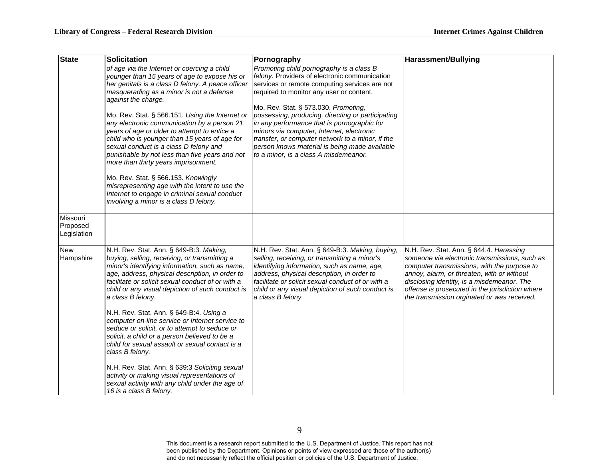| <b>State</b>                        | <b>Solicitation</b>                                                                                                                                                                                                                                                                                                                                                                                                                                                                                                                                                                                                                                                                                                                             | Pornography                                                                                                                                                                                                                                                                                                                                                                                                                                                                                                                   | Harassment/Bullying                                                                                                                                                                                                                                                                                                                   |
|-------------------------------------|-------------------------------------------------------------------------------------------------------------------------------------------------------------------------------------------------------------------------------------------------------------------------------------------------------------------------------------------------------------------------------------------------------------------------------------------------------------------------------------------------------------------------------------------------------------------------------------------------------------------------------------------------------------------------------------------------------------------------------------------------|-------------------------------------------------------------------------------------------------------------------------------------------------------------------------------------------------------------------------------------------------------------------------------------------------------------------------------------------------------------------------------------------------------------------------------------------------------------------------------------------------------------------------------|---------------------------------------------------------------------------------------------------------------------------------------------------------------------------------------------------------------------------------------------------------------------------------------------------------------------------------------|
|                                     | of age via the Internet or coercing a child<br>younger than 15 years of age to expose his or<br>her genitals is a class D felony. A peace officer<br>masquerading as a minor is not a defense<br>against the charge.<br>Mo. Rev. Stat. § 566.151. Using the Internet or<br>any electronic communication by a person 21<br>years of age or older to attempt to entice a<br>child who is younger than 15 years of age for<br>sexual conduct is a class D felony and<br>punishable by not less than five years and not<br>more than thirty years imprisonment.<br>Mo. Rev. Stat. § 566.153. Knowingly<br>misrepresenting age with the intent to use the<br>Internet to engage in criminal sexual conduct<br>involving a minor is a class D felony. | Promoting child pornography is a class B<br>felony. Providers of electronic communication<br>services or remote computing services are not<br>required to monitor any user or content.<br>Mo. Rev. Stat. § 573.030. Promoting,<br>possessing, producing, directing or participating<br>in any performance that is pornographic for<br>minors via computer, Internet, electronic<br>transfer, or computer network to a minor, if the<br>person knows material is being made available<br>to a minor, is a class A misdemeanor. |                                                                                                                                                                                                                                                                                                                                       |
| Missouri<br>Proposed<br>Legislation |                                                                                                                                                                                                                                                                                                                                                                                                                                                                                                                                                                                                                                                                                                                                                 |                                                                                                                                                                                                                                                                                                                                                                                                                                                                                                                               |                                                                                                                                                                                                                                                                                                                                       |
| <b>New</b><br>Hampshire             | N.H. Rev. Stat. Ann. § 649-B:3. Making,<br>buying, selling, receiving, or transmitting a<br>minor's identifying information, such as name,<br>age, address, physical description, in order to<br>facilitate or solicit sexual conduct of or with a<br>child or any visual depiction of such conduct is<br>a class B felony.                                                                                                                                                                                                                                                                                                                                                                                                                     | N.H. Rev. Stat. Ann. § 649-B:3. Making, buying,<br>selling, receiving, or transmitting a minor's<br>identifying information, such as name, age,<br>address, physical description, in order to<br>facilitate or solicit sexual conduct of or with a<br>child or any visual depiction of such conduct is<br>a class B felony.                                                                                                                                                                                                   | N.H. Rev. Stat. Ann. § 644:4. Harassing<br>someone via electronic transmissions, such as<br>computer transmissions, with the purpose to<br>annoy, alarm, or threaten, with or without<br>disclosing identity, is a misdemeanor. The<br>offense is prosecuted in the jurisdiction where<br>the transmission orginated or was received. |
|                                     | N.H. Rev. Stat. Ann. § 649-B:4. Using a<br>computer on-line service or Internet service to<br>seduce or solicit, or to attempt to seduce or<br>solicit, a child or a person believed to be a<br>child for sexual assault or sexual contact is a<br>class B felony.                                                                                                                                                                                                                                                                                                                                                                                                                                                                              |                                                                                                                                                                                                                                                                                                                                                                                                                                                                                                                               |                                                                                                                                                                                                                                                                                                                                       |
|                                     | N.H. Rev. Stat. Ann. § 639:3 Soliciting sexual<br>activity or making visual representations of<br>sexual activity with any child under the age of<br>16 is a class B felony.                                                                                                                                                                                                                                                                                                                                                                                                                                                                                                                                                                    |                                                                                                                                                                                                                                                                                                                                                                                                                                                                                                                               |                                                                                                                                                                                                                                                                                                                                       |

9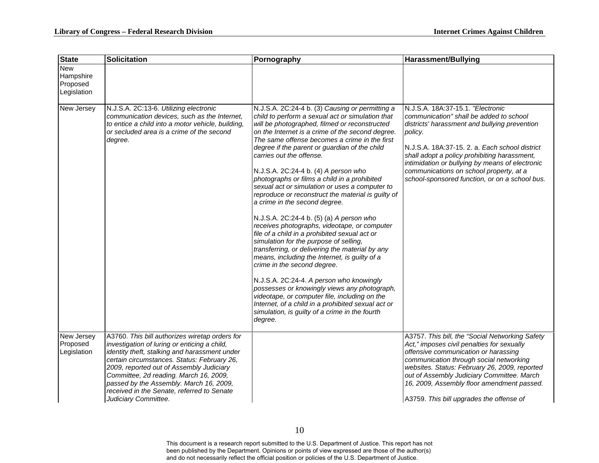| <b>State</b>                                       | <b>Solicitation</b>                                                                                                                                                                                                                                                                                                                                                                                   | Pornography                                                                                                                                                                                                                                                                                                                                                                                                                                                                                                                                                                                                                                                                                                                                                                                                                                                                                                                                                                                                                                                                                                                                                       | <b>Harassment/Bullying</b>                                                                                                                                                                                                                                                                                                                                                                 |
|----------------------------------------------------|-------------------------------------------------------------------------------------------------------------------------------------------------------------------------------------------------------------------------------------------------------------------------------------------------------------------------------------------------------------------------------------------------------|-------------------------------------------------------------------------------------------------------------------------------------------------------------------------------------------------------------------------------------------------------------------------------------------------------------------------------------------------------------------------------------------------------------------------------------------------------------------------------------------------------------------------------------------------------------------------------------------------------------------------------------------------------------------------------------------------------------------------------------------------------------------------------------------------------------------------------------------------------------------------------------------------------------------------------------------------------------------------------------------------------------------------------------------------------------------------------------------------------------------------------------------------------------------|--------------------------------------------------------------------------------------------------------------------------------------------------------------------------------------------------------------------------------------------------------------------------------------------------------------------------------------------------------------------------------------------|
| <b>New</b><br>Hampshire<br>Proposed<br>Legislation |                                                                                                                                                                                                                                                                                                                                                                                                       |                                                                                                                                                                                                                                                                                                                                                                                                                                                                                                                                                                                                                                                                                                                                                                                                                                                                                                                                                                                                                                                                                                                                                                   |                                                                                                                                                                                                                                                                                                                                                                                            |
| New Jersey                                         | N.J.S.A. 2C:13-6. Utilizing electronic<br>communication devices, such as the Internet,<br>to entice a child into a motor vehicle, building,<br>or secluded area is a crime of the second<br>degree.                                                                                                                                                                                                   | N.J.S.A. 2C:24-4 b. (3) Causing or permitting a<br>child to perform a sexual act or simulation that<br>will be photographed, filmed or reconstructed<br>on the Internet is a crime of the second degree.<br>The same offense becomes a crime in the first<br>degree if the parent or guardian of the child<br>carries out the offense.<br>N.J.S.A. 2C:24-4 b. (4) A person who<br>photographs or films a child in a prohibited<br>sexual act or simulation or uses a computer to<br>reproduce or reconstruct the material is guilty of<br>a crime in the second degree.<br>N.J.S.A. 2C:24-4 b. (5) (a) A person who<br>receives photographs, videotape, or computer<br>file of a child in a prohibited sexual act or<br>simulation for the purpose of selling,<br>transferring, or delivering the material by any<br>means, including the Internet, is guilty of a<br>crime in the second degree.<br>N.J.S.A. 2C:24-4. A person who knowingly<br>possesses or knowingly views any photograph,<br>videotape, or computer file, including on the<br>Internet, of a child in a prohibited sexual act or<br>simulation, is guilty of a crime in the fourth<br>degree. | N.J.S.A. 18A:37-15.1. "Electronic<br>communication" shall be added to school<br>districts' harassment and bullying prevention<br>policy.<br>N.J.S.A. 18A:37-15, 2. a. Each school district<br>shall adopt a policy prohibiting harassment,<br>intimidation or bullying by means of electronic<br>communications on school property, at a<br>school-sponsored function, or on a school bus. |
| New Jersey<br>Proposed<br>Legislation              | A3760. This bill authorizes wiretap orders for<br>investigation of luring or enticing a child,<br>identity theft, stalking and harassment under<br>certain circumstances. Status: February 26,<br>2009, reported out of Assembly Judiciary<br>Committee, 2d reading. March 16, 2009,<br>passed by the Assembly. March 16, 2009,<br>received in the Senate, referred to Senate<br>Judiciary Committee. |                                                                                                                                                                                                                                                                                                                                                                                                                                                                                                                                                                                                                                                                                                                                                                                                                                                                                                                                                                                                                                                                                                                                                                   | A3757. This bill, the "Social Networking Safety<br>Act," imposes civil penalties for sexually<br>offensive communication or harassing<br>communication through social networking<br>websites. Status: February 26, 2009, reported<br>out of Assembly Judiciary Committee. March<br>16, 2009, Assembly floor amendment passed.<br>A3759. This bill upgrades the offense of                  |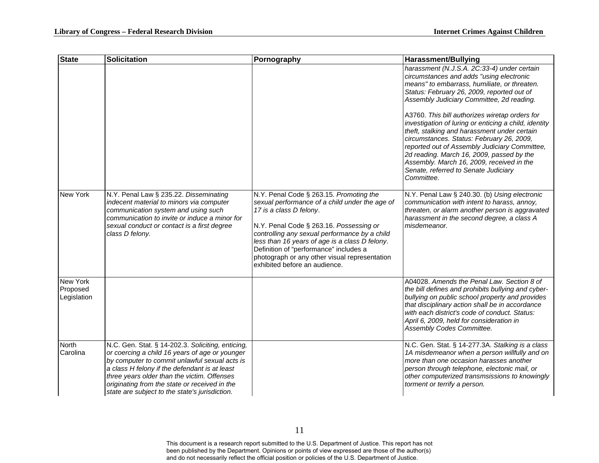| <b>State</b>                               | <b>Solicitation</b>                                                                                                                                                                                                                                                                                                                                     | Pornography                                                                                                                                                                                                                                                                                                                                                                                    | Harassment/Bullying                                                                                                                                                                                                                                                                                                                                                                                                                                                                                                                                                                                                                         |
|--------------------------------------------|---------------------------------------------------------------------------------------------------------------------------------------------------------------------------------------------------------------------------------------------------------------------------------------------------------------------------------------------------------|------------------------------------------------------------------------------------------------------------------------------------------------------------------------------------------------------------------------------------------------------------------------------------------------------------------------------------------------------------------------------------------------|---------------------------------------------------------------------------------------------------------------------------------------------------------------------------------------------------------------------------------------------------------------------------------------------------------------------------------------------------------------------------------------------------------------------------------------------------------------------------------------------------------------------------------------------------------------------------------------------------------------------------------------------|
|                                            |                                                                                                                                                                                                                                                                                                                                                         |                                                                                                                                                                                                                                                                                                                                                                                                | harassment (N.J.S.A. 2C:33-4) under certain<br>circumstances and adds "using electronic<br>means" to embarrass, humiliate, or threaten.<br>Status: February 26, 2009, reported out of<br>Assembly Judiciary Committee, 2d reading.<br>A3760. This bill authorizes wiretap orders for<br>investigation of luring or enticing a child, identity<br>theft, stalking and harassment under certain<br>circumstances. Status: February 26, 2009,<br>reported out of Assembly Judiciary Committee,<br>2d reading. March 16, 2009, passed by the<br>Assembly. March 16, 2009, received in the<br>Senate, referred to Senate Judiciary<br>Committee. |
| New York                                   | N.Y. Penal Law § 235.22. Disseminating<br>indecent material to minors via computer<br>communication system and using such<br>communication to invite or induce a minor for<br>sexual conduct or contact is a first degree<br>class D felony.                                                                                                            | N.Y. Penal Code § 263.15. Promoting the<br>sexual performance of a child under the age of<br>17 is a class D felony.<br>N.Y. Penal Code § 263.16. Possessing or<br>controlling any sexual performance by a child<br>less than 16 years of age is a class D felony.<br>Definition of "performance" includes a<br>photograph or any other visual representation<br>exhibited before an audience. | N.Y. Penal Law § 240.30. (b) Using electronic<br>communication with intent to harass, annoy,<br>threaten, or alarm another person is aggravated<br>harassment in the second degree, a class A<br>misdemeanor.                                                                                                                                                                                                                                                                                                                                                                                                                               |
| <b>New York</b><br>Proposed<br>Legislation |                                                                                                                                                                                                                                                                                                                                                         |                                                                                                                                                                                                                                                                                                                                                                                                | A04028. Amends the Penal Law. Section 8 of<br>the bill defines and prohibits bullying and cyber-<br>bullying on public school property and provides<br>that disciplinary action shall be in accordance<br>with each district's code of conduct. Status:<br>April 6, 2009, held for consideration in<br>Assembly Codes Committee.                                                                                                                                                                                                                                                                                                            |
| North<br>Carolina                          | N.C. Gen. Stat. § 14-202.3. Soliciting, enticing,<br>or coercing a child 16 years of age or younger<br>by computer to commit unlawful sexual acts is<br>a class H felony if the defendant is at least<br>three years older than the victim. Offenses<br>originating from the state or received in the<br>state are subject to the state's jurisdiction. |                                                                                                                                                                                                                                                                                                                                                                                                | N.C. Gen. Stat. § 14-277.3A. Stalking is a class<br>1A misdemeanor when a person willfully and on<br>more than one occasion harasses another<br>person through telephone, electonic mail, or<br>other computerized transmsissions to knowingly<br>torment or terrify a person.                                                                                                                                                                                                                                                                                                                                                              |